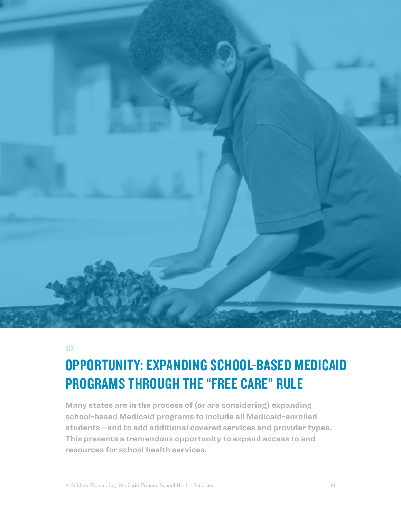

SIX

# OPPORTUNITY: EXPANDING SCHOOL-BASED MEDICAID PROGRAMS THROUGH THE "FREE CARE" RULE

**Many states are in the process of (or are considering) expanding school-based Medicaid programs to include all Medicaid-enrolled students—and to add additional covered services and provider types. This presents a tremendous opportunity to expand access to and resources for school health services.**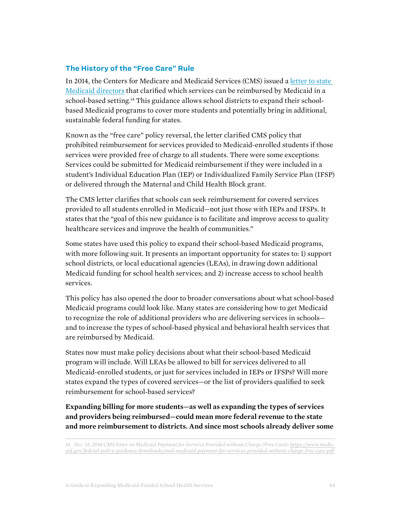### **The History of the "Free Care" Rule**

In 2014, the Centers for Medicare and Medicaid Services (CMS) issued a [letter to state](https://www.medicaid.gov/federal-policy-guidance/downloads/smd-medicaid-payment-for-services-provided-without-charge-free-care.pdf)  [Medicaid directors](https://www.medicaid.gov/federal-policy-guidance/downloads/smd-medicaid-payment-for-services-provided-without-charge-free-care.pdf) that clarified which services can be reimbursed by Medicaid in a school-based setting.<sup>14</sup> This guidance allows school districts to expand their schoolbased Medicaid programs to cover more students and potentially bring in additional, sustainable federal funding for states.

Known as the "free care" policy reversal, the letter clarified CMS policy that prohibited reimbursement for services provided to Medicaid-enrolled students if those services were provided free of charge to all students. There were some exceptions: Services could be submitted for Medicaid reimbursement if they were included in a student's Individual Education Plan (IEP) or Individualized Family Service Plan (IFSP) or delivered through the Maternal and Child Health Block grant.

The CMS letter clarifies that schools can seek reimbursement for covered services provided to all students enrolled in Medicaid—not just those with IEPs and IFSPs. It states that the "goal of this new guidance is to facilitate and improve access to quality healthcare services and improve the health of communities."

Some states have used this policy to expand their school-based Medicaid programs, with more following suit. It presents an important opportunity for states to: 1) support school districts, or local educational agencies (LEAs), in drawing down additional Medicaid funding for school health services; and 2) increase access to school health services.

This policy has also opened the door to broader conversations about what school-based Medicaid programs could look like. Many states are considering how to get Medicaid to recognize the role of additional providers who are delivering services in schools and to increase the types of school-based physical and behavioral health services that are reimbursed by Medicaid.

States now must make policy decisions about what their school-based Medicaid program will include. Will LEAs be allowed to bill for services delivered to all Medicaid-enrolled students, or just for services included in IEPs or IFSPs? Will more states expand the types of covered services—or the list of providers qualified to seek reimbursement for school-based services?

**Expanding billing for more students—as well as expanding the types of services and providers being reimbursed—could mean more federal revenue to the state and more reimbursement to districts. And since most schools already deliver some** 

*<sup>14.</sup> Dec. 15, 2014 CMS letter on Medicaid Payment for Services Provided without Charge (Free Care): [https://www.medic](https://www.medicaid.gov/federal-policy-guidance/downloads/smd-medicaid-payment-for-services-provided-without-charge-free-care.pdf)[aid.gov/federal-policy-guidance/downloads/smd-medicaid-payment-for-services-provided-without-charge-free-care.pdf](https://www.medicaid.gov/federal-policy-guidance/downloads/smd-medicaid-payment-for-services-provided-without-charge-free-care.pdf)*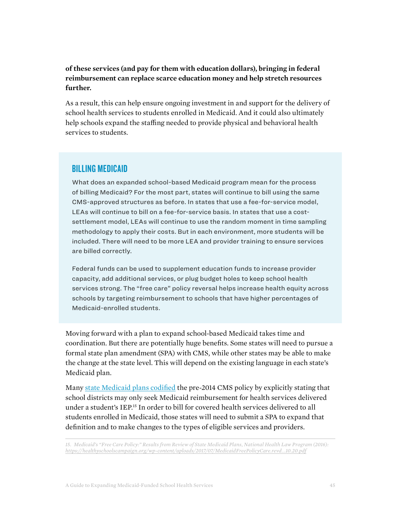## **of these services (and pay for them with education dollars), bringing in federal reimbursement can replace scarce education money and help stretch resources further.**

As a result, this can help ensure ongoing investment in and support for the delivery of school health services to students enrolled in Medicaid. And it could also ultimately help schools expand the staffing needed to provide physical and behavioral health services to students.

## BILLING MEDICAID

What does an expanded school-based Medicaid program mean for the process of billing Medicaid? For the most part, states will continue to bill using the same CMS-approved structures as before. In states that use a fee-for-service model, LEAs will continue to bill on a fee-for-service basis. In states that use a costsettlement model, LEAs will continue to use the random moment in time sampling methodology to apply their costs. But in each environment, more students will be included. There will need to be more LEA and provider training to ensure services are billed correctly.

Federal funds can be used to supplement education funds to increase provider capacity, add additional services, or plug budget holes to keep school health services strong. The "free care" policy reversal helps increase health equity across schools by targeting reimbursement to schools that have higher percentages of Medicaid-enrolled students.

Moving forward with a plan to expand school-based Medicaid takes time and coordination. But there are potentially huge benefits. Some states will need to pursue a formal state plan amendment (SPA) with CMS, while other states may be able to make the change at the state level. This will depend on the existing language in each state's Medicaid plan.

Many [state Medicaid plans codified](https://healthyschoolscampaign.org/wp-content/uploads/2017/07/MedicaidFreePolicyCare.revd_.10.20.pdf) the pre-2014 CMS policy by explicitly stating that school districts may only seek Medicaid reimbursement for health services delivered under a student's IEP.15 In order to bill for covered health services delivered to all students enrolled in Medicaid, those states will need to submit a SPA to expand that definition and to make changes to the types of eligible services and providers.

*15. Medicaid's "Free Care Policy:" Results from Review of State Medicaid Plans, National Health Law Program (2016): [https://healthyschoolscampaign.org/wp-content/uploads/2017/07/MedicaidFreePolicyCare.revd\\_.10.20.pdf](https://healthyschoolscampaign.org/wp-content/uploads/2017/07/MedicaidFreePolicyCare.revd_.10.20.pdf)*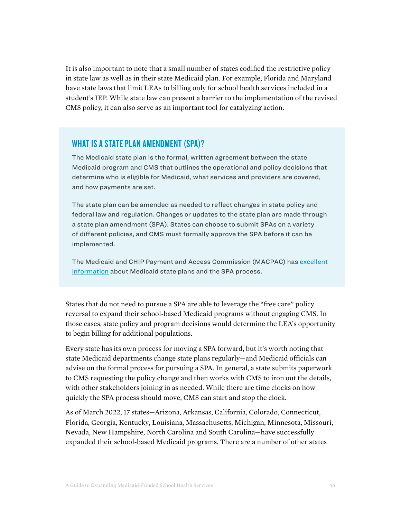It is also important to note that a small number of states codified the restrictive policy in state law as well as in their state Medicaid plan. For example, Florida and Maryland have state laws that limit LEAs to billing only for school health services included in a student's IEP. While state law can present a barrier to the implementation of the revised CMS policy, it can also serve as an important tool for catalyzing action.

# WHAT IS A STATE PLAN AMENDMENT (SPA)?

The Medicaid state plan is the formal, written agreement between the state Medicaid program and CMS that outlines the operational and policy decisions that determine who is eligible for Medicaid, what services and providers are covered, and how payments are set.

The state plan can be amended as needed to reflect changes in state policy and federal law and regulation. Changes or updates to the state plan are made through a state plan amendment (SPA). States can choose to submit SPAs on a variety of different policies, and CMS must formally approve the SPA before it can be implemented.

The Medicaid and CHIP Payment and Access Commission (MACPAC) has [excellent](https://www.macpac.gov/subtopic/state-plan/)  [information](https://www.macpac.gov/subtopic/state-plan/) about Medicaid state plans and the SPA process.

States that do not need to pursue a SPA are able to leverage the "free care" policy reversal to expand their school-based Medicaid programs without engaging CMS. In those cases, state policy and program decisions would determine the LEA's opportunity to begin billing for additional populations.

Every state has its own process for moving a SPA forward, but it's worth noting that state Medicaid departments change state plans regularly—and Medicaid officials can advise on the formal process for pursuing a SPA. In general, a state submits paperwork to CMS requesting the policy change and then works with CMS to iron out the details, with other stakeholders joining in as needed. While there are time clocks on how quickly the SPA process should move, CMS can start and stop the clock.

As of March 2022, 17 states—Arizona, Arkansas, California, Colorado, Connecticut, Florida, Georgia, Kentucky, Louisiana, Massachusetts, Michigan, Minnesota, Missouri, Nevada, New Hampshire, North Carolina and South Carolina—have successfully expanded their school-based Medicaid programs. There are a number of other states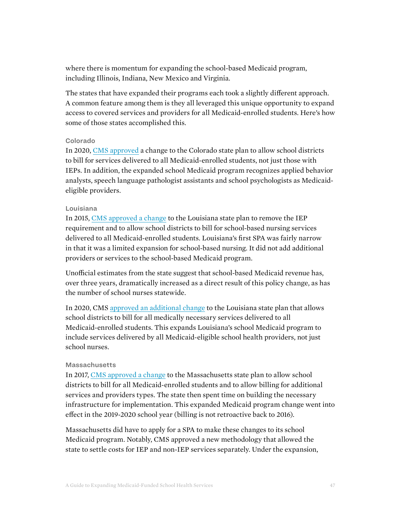where there is momentum for expanding the school-based Medicaid program, including Illinois, Indiana, New Mexico and Virginia.

The states that have expanded their programs each took a slightly different approach. A common feature among them is they all leveraged this unique opportunity to expand access to covered services and providers for all Medicaid-enrolled students. Here's how some of those states accomplished this.

#### Colorado

In 2020, [CMS approved](https://www.medicaid.gov/sites/default/files/State-resource-center/Medicaid-State-Plan-Amendments/Downloads/CO/CO-19-0021.pdf) a change to the Colorado state plan to allow school districts to bill for services delivered to all Medicaid-enrolled students, not just those with IEPs. In addition, the expanded school Medicaid program recognizes applied behavior analysts, speech language pathologist assistants and school psychologists as Medicaideligible providers.

#### Louisiana

In 2015, [CMS approved a change](http://ldh.la.gov/assets/medicaid/StatePlan/Amend2015/15-0019CMS.Approval.pdf) to the Louisiana state plan to remove the IEP requirement and to allow school districts to bill for school-based nursing services delivered to all Medicaid-enrolled students. Louisiana's first SPA was fairly narrow in that it was a limited expansion for school-based nursing. It did not add additional providers or services to the school-based Medicaid program.

Unofficial estimates from the state suggest that school-based Medicaid revenue has, over three years, dramatically increased as a direct result of this policy change, as has the number of school nurses statewide.

In 2020, CMS [approved an additional change](http://ldh.la.gov/assets/medicaid/StatePlan/Amend2019/19-0005/19-0005CMSApproval.pdf) to the Louisiana state plan that allows school districts to bill for all medically necessary services delivered to all Medicaid-enrolled students. This expands Louisiana's school Medicaid program to include services delivered by all Medicaid-eligible school health providers, not just school nurses.

#### **Massachusetts**

In 2017, [CMS approved a change](https://www.medicaid.gov/sites/default/files/State-resource-center/Medicaid-State-Plan-Amendments/Downloads/MA/MA-16-012.pdf) to the Massachusetts state plan to allow school districts to bill for all Medicaid-enrolled students and to allow billing for additional services and providers types. The state then spent time on building the necessary infrastructure for implementation. This expanded Medicaid program change went into effect in the 2019-2020 school year (billing is not retroactive back to 2016).

Massachusetts did have to apply for a SPA to make these changes to its school Medicaid program. Notably, CMS approved a new methodology that allowed the state to settle costs for IEP and non-IEP services separately. Under the expansion,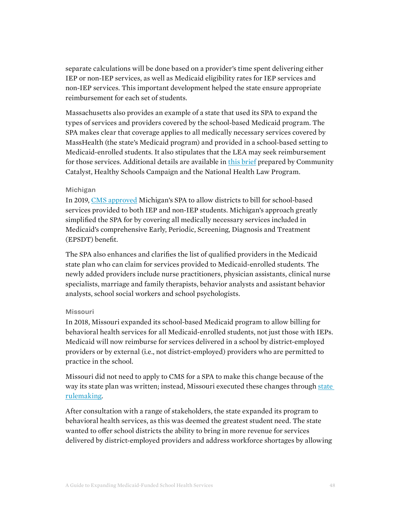separate calculations will be done based on a provider's time spent delivering either IEP or non-IEP services, as well as Medicaid eligibility rates for IEP services and non-IEP services. This important development helped the state ensure appropriate reimbursement for each set of students.

Massachusetts also provides an example of a state that used its SPA to expand the types of services and providers covered by the school-based Medicaid program. The SPA makes clear that coverage applies to all medically necessary services covered by MassHealth (the state's Medicaid program) and provided in a school-based setting to Medicaid-enrolled students. It also stipulates that the LEA may seek reimbursement for those services. Additional details are available in [this brief](https://www.communitycatalyst.org/resources/publications/document/2017/MA-SPA-Brief_FINAL_12-12-17.pdf) prepared by Community Catalyst, Healthy Schools Campaign and the National Health Law Program.

#### Michigan

In 2019, [CMS approved](https://www.medicaid.gov/sites/default/files/State-resource-center/Medicaid-State-Plan-Amendments/Downloads/MI/MI-18-0013.pdf) Michigan's SPA to allow districts to bill for school-based services provided to both IEP and non-IEP students. Michigan's approach greatly simplified the SPA for by covering all medically necessary services included in Medicaid's comprehensive Early, Periodic, Screening, Diagnosis and Treatment (EPSDT) benefit.

The SPA also enhances and clarifies the list of qualified providers in the Medicaid state plan who can claim for services provided to Medicaid-enrolled students. The newly added providers include nurse practitioners, physician assistants, clinical nurse specialists, marriage and family therapists, behavior analysts and assistant behavior analysts, school social workers and school psychologists.

#### Missouri

In 2018, Missouri expanded its school-based Medicaid program to allow billing for behavioral health services for all Medicaid-enrolled students, not just those with IEPs. Medicaid will now reimburse for services delivered in a school by district-employed providers or by external (i.e., not district-employed) providers who are permitted to practice in the school.

Missouri did not need to apply to CMS for a SPA to make this change because of the way its state plan was written; instead, Missouri executed these changes through [state](https://dss.mo.gov/mhd/providers/pdf/bulletin40-54_2018apr17.pdf)  [rulemaking](https://dss.mo.gov/mhd/providers/pdf/bulletin40-54_2018apr17.pdf).

After consultation with a range of stakeholders, the state expanded its program to behavioral health services, as this was deemed the greatest student need. The state wanted to offer school districts the ability to bring in more revenue for services delivered by district-employed providers and address workforce shortages by allowing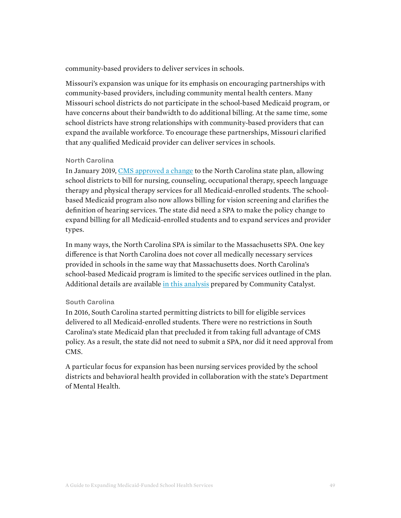community-based providers to deliver services in schools.

Missouri's expansion was unique for its emphasis on encouraging partnerships with community-based providers, including community mental health centers. Many Missouri school districts do not participate in the school-based Medicaid program, or have concerns about their bandwidth to do additional billing. At the same time, some school districts have strong relationships with community-based providers that can expand the available workforce. To encourage these partnerships, Missouri clarified that any qualified Medicaid provider can deliver services in schools.

#### North Carolina

In January 2019, [CMS approved a change](https://www.medicaid.gov/sites/default/files/State-resource-center/Medicaid-State-Plan-Amendments/Downloads/NC/NC-18-0005.pdf) to the North Carolina state plan, allowing school districts to bill for nursing, counseling, occupational therapy, speech language therapy and physical therapy services for all Medicaid-enrolled students. The schoolbased Medicaid program also now allows billing for vision screening and clarifies the definition of hearing services. The state did need a SPA to make the policy change to expand billing for all Medicaid-enrolled students and to expand services and provider types.

In many ways, the North Carolina SPA is similar to the Massachusetts SPA. One key difference is that North Carolina does not cover all medically necessary services provided in schools in the same way that Massachusetts does. North Carolina's school-based Medicaid program is limited to the specific services outlined in the plan. Additional details are available [in this analysis](https://drive.google.com/file/d/1_k_raN17j8_MkkR8KAfi1_fv6dWIORIy/view) prepared by Community Catalyst.

#### South Carolina

In 2016, South Carolina started permitting districts to bill for eligible services delivered to all Medicaid-enrolled students. There were no restrictions in South Carolina's state Medicaid plan that precluded it from taking full advantage of CMS policy. As a result, the state did not need to submit a SPA, nor did it need approval from CMS.

A particular focus for expansion has been nursing services provided by the school districts and behavioral health provided in collaboration with the state's Department of Mental Health.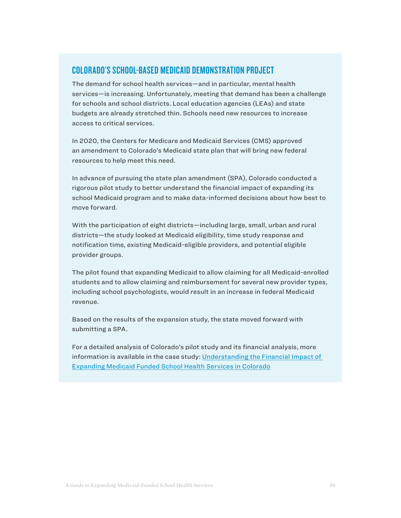## COLORADO'S SCHOOL-BASED MEDICAID DEMONSTRATION PROJECT

The demand for school health services—and in particular, mental health services—is increasing. Unfortunately, meeting that demand has been a challenge for schools and school districts. Local education agencies (LEAs) and state budgets are already stretched thin. Schools need new resources to increase access to critical services.

In 2020, the Centers for Medicare and Medicaid Services (CMS) approved an amendment to Colorado's Medicaid state plan that will bring new federal resources to help meet this need.

In advance of pursuing the state plan amendment (SPA), Colorado conducted a rigorous pilot study to better understand the financial impact of expanding its school Medicaid program and to make data-informed decisions about how best to move forward.

With the participation of eight districts—including large, small, urban and rural districts—the study looked at Medicaid eligibility, time study response and notification time, existing Medicaid-eligible providers, and potential eligible provider groups.

The pilot found that expanding Medicaid to allow claiming for all Medicaid-enrolled students and to allow claiming and reimbursement for several new provider types, including school psychologists, would result in an increase in federal Medicaid revenue.

Based on the results of the expansion study, the state moved forward with submitting a SPA.

For a detailed analysis of Colorado's pilot study and its financial analysis, more information is available in the case study: [Understanding the Financial Impact of](https://healthystudentspromisingfutures.org/wp-content/uploads/2020/09/CO-RMTS-Case-Study-HSPF.pdf)  [Expanding Medicaid Funded School Health Services in Colorado](https://healthystudentspromisingfutures.org/wp-content/uploads/2020/09/CO-RMTS-Case-Study-HSPF.pdf)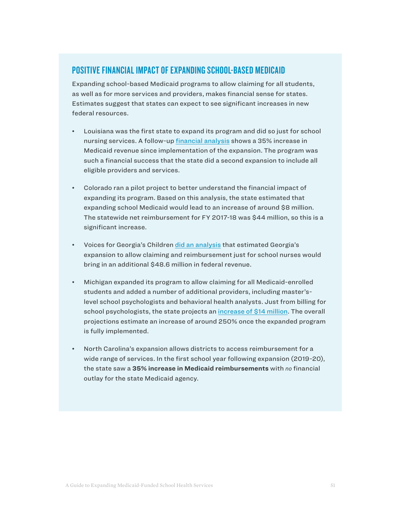# POSITIVE FINANCIAL IMPACT OF EXPANDING SCHOOL-BASED MEDICAID

Expanding school-based Medicaid programs to allow claiming for all students, as well as for more services and providers, makes financial sense for states. Estimates suggest that states can expect to see significant increases in new federal resources.

- Louisiana was the first state to expand its program and did so just for school nursing services. A follow-up [financial analysis](https://drive.google.com/file/d/1jseojUfNg40KC7ZLl7EmMXKRLmMJrgSm/view?usp=sharing) shows a 35% increase in Medicaid revenue since implementation of the expansion. The program was such a financial success that the state did a second expansion to include all eligible providers and services.
- Colorado ran a pilot project to better understand the financial impact of expanding its program. Based on this analysis, the state estimated that expanding school Medicaid would lead to an increase of around \$8 million. The statewide net reimbursement for FY 2017-18 was \$44 million, so this is a significant increase.
- Voices for Georgia's Children [did an analysis](https://drive.google.com/file/d/1XCV9e54CupVRDnA5T6Pw8Z6DPJzkbOck/view) that estimated Georgia's expansion to allow claiming and reimbursement just for school nurses would bring in an additional \$48.6 million in federal revenue.
- Michigan expanded its program to allow claiming for all Medicaid-enrolled students and added a number of additional providers, including master'slevel school psychologists and behavioral health analysts. Just from billing for school psychologists, the state projects an [increase of \\$14 million.](http://www.healthystudentspromisingfutures.org/wp-content/uploads/2019/12/ExpandingMichiganSchoolBasedMedicaidProgram.pdf) The overall projections estimate an increase of around 250% once the expanded program is fully implemented.
- North Carolina's expansion allows districts to access reimbursement for a wide range of services. In the first school year following expansion (2019-20), the state saw a **35% increase in Medicaid reimbursements** with no financial outlay for the state Medicaid agency.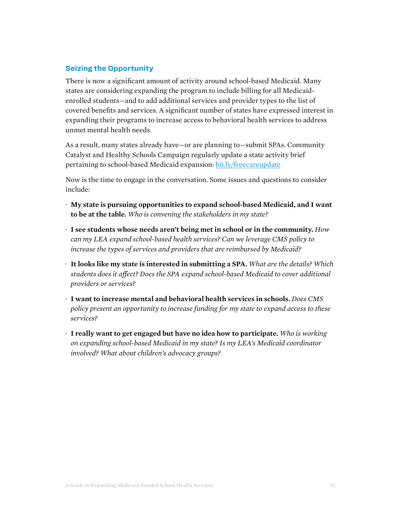## **Seizing the Opportunity**

There is now a significant amount of activity around school-based Medicaid. Many states are considering expanding the program to include billing for all Medicaidenrolled students—and to add additional services and provider types to the list of covered benefits and services. A significant number of states have expressed interest in expanding their programs to increase access to behavioral health services to address unmet mental health needs.

As a result, many states already have—or are planning to—submit SPAs. Community Catalyst and Healthy Schools Campaign regularly update a state activity brief pertaining to school-based Medicaid expansion: [bit.ly/freecareupdate](http://bit.ly/freecareupdate)

Now is the time to engage in the conversation. Some issues and questions to consider include:

- · **My state is pursuing opportunities to expand school-based Medicaid, and I want to be at the table.** *Who is convening the stakeholders in my state?*
- · **I see students whose needs aren't being met in school or in the community.** *How can my LEA expand school-based health services? Can we leverage CMS policy to increase the types of services and providers that are reimbursed by Medicaid?*
- · **It looks like my state is interested in submitting a SPA.** *What are the details? Which students does it affect? Does the SPA expand school-based Medicaid to cover additional providers or services?*
- · **I want to increase mental and behavioral health services in schools.** *Does CMS policy present an opportunity to increase funding for my state to expand access to these services?*
- · **I really want to get engaged but have no idea how to participate.** *Who is working on expanding school-based Medicaid in my state? Is my LEA's Medicaid coordinator involved? What about children's advocacy groups?*